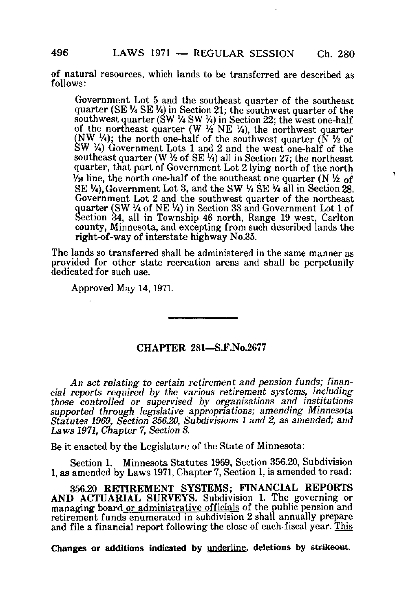of natural resources, which lands to be transferred are described as follows:

Government Lot 5 and the southeast quarter of the southeast quarter (SE 1/4 SE 1/4) in Section 21; the southwest quarter of the southwest quarter (SW  $\frac{1}{4}$  SW  $\frac{1}{4}$ ) in Section 22; the west one-half of the northeast quarter  $(W \frac{1}{2} NE \frac{1}{4})$ , the northwest quarter  $(NW, 4)$ ; the north one-half of the southwest quarter  $(N<sup>1</sup>/<sub>2</sub>$  of  $SW<sup>1</sup>A$ ) Government Lots 1 and 2 and the west one-half of the southeast quarter (W  $\frac{1}{2}$  of SE  $\frac{1}{4}$ ) all in Section 27; the northeast quarter, that part of Government Lot 2 lying north of the north  $V_{16}$  line, the north one-half of the southeast one quarter (N  $V_{2}$  of SE  $\lambda$ ), Government Lot 3, and the SW  $\lambda$  SE  $\lambda$  all in Section 28. Government Lot 2 and the southwest quarter of the northeast quarter (SW<sup>1</sup>A of NE Vi) in Section 33 and Government Lot 1 of Section 34, all in Township 46 north, Range 19 west, Carlton county, Minnesota, and excepting from such described lands the right-of-way of interstate highway No.35.

The lands so transferred shall be administered in the same manner as proyided for other state recreation areas and shall be perpetually dedicated for such use.

Approved May 14,1971.

## CHAPTER 281—S.F.No.2677

An act relating to certain retirement and pension funds; financial reports required by the various retirement systems, including those controlled or supervised by organizations and institutions supported through legislative appropriations; amending Minnesota Statutes 1969, Section 356.20, Subdivisions 1 and 2, as amended; and Laws 1971, Chapter 7, Section 8.

Be it enacted by the Legislature of the State of Minnesota:

Section 1. Minnesota Statutes 1969, Section 356.20, Subdivision 1, as amended by Laws 1971, Chapter 7, Section 1, is amended to read:

356.20 RETIREMENT SYSTEMS; FINANCIAL REPORTS AND ACTUARIAL SURVEYS. Subdivision 1. The governing or managing board or administrative officials of the public pension and retirement funds enumerated in subdivision 2 shall annually prepare and file a financial report following the close of each fiscal year. This

Changes or additions indicated by underline, deletions by strikeout.